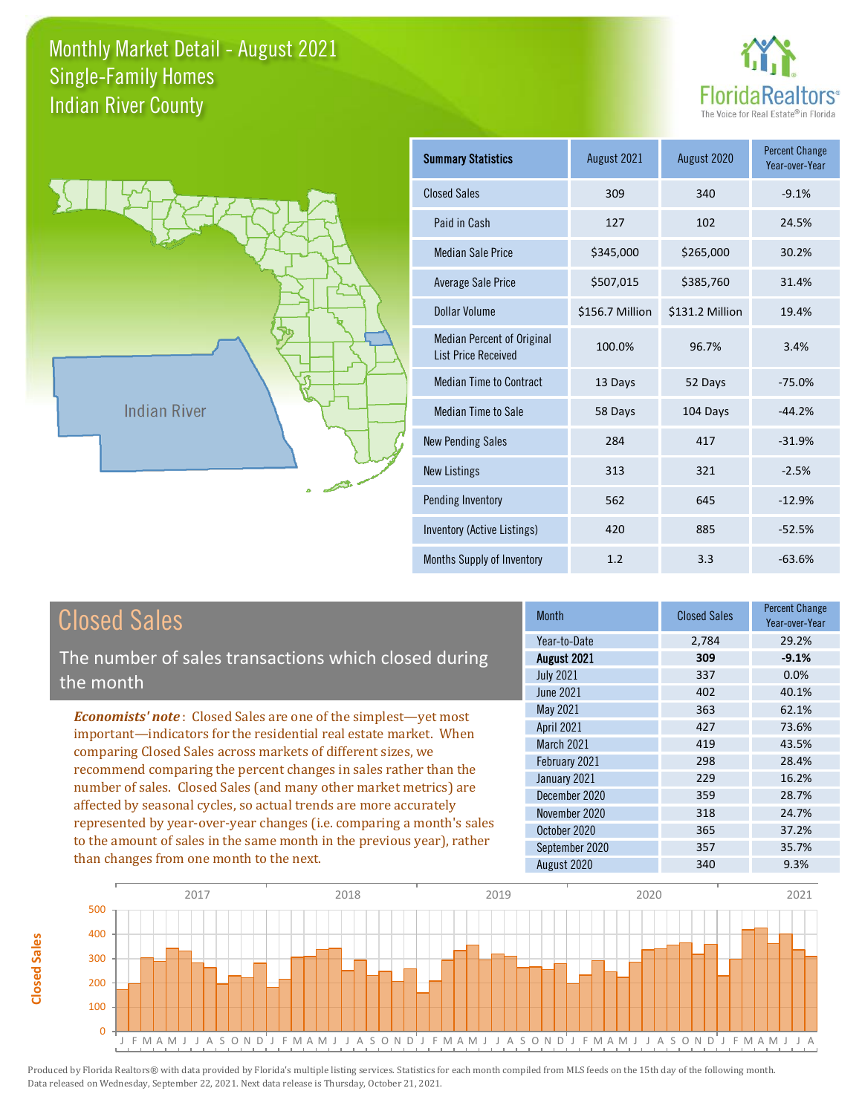



**Closed Sales**

**Closed Sales** 

| <b>Summary Statistics</b>                                       | August 2021     | August 2020     | <b>Percent Change</b><br>Year-over-Year |
|-----------------------------------------------------------------|-----------------|-----------------|-----------------------------------------|
| <b>Closed Sales</b>                                             | 309             | 340             | $-9.1%$                                 |
| Paid in Cash                                                    | 127             | 102             | 24.5%                                   |
| <b>Median Sale Price</b>                                        | \$345,000       | \$265,000       | 30.2%                                   |
| <b>Average Sale Price</b>                                       | \$507,015       | \$385,760       | 31.4%                                   |
| Dollar Volume                                                   | \$156.7 Million | \$131.2 Million | 19.4%                                   |
| <b>Median Percent of Original</b><br><b>List Price Received</b> | 100.0%          | 96.7%           | 3.4%                                    |
| <b>Median Time to Contract</b>                                  | 13 Days         | 52 Days         | $-75.0%$                                |
| <b>Median Time to Sale</b>                                      | 58 Days         | 104 Days        | $-44.2%$                                |
| <b>New Pending Sales</b>                                        | 284             | 417             | $-31.9%$                                |
| <b>New Listings</b>                                             | 313             | 321             | $-2.5%$                                 |
| Pending Inventory                                               | 562             | 645             | $-12.9%$                                |
| Inventory (Active Listings)                                     | 420             | 885             | $-52.5%$                                |
| Months Supply of Inventory                                      | 1.2             | 3.3             | $-63.6%$                                |

| <b>Closed Sales</b>                                                                                                                    | <b>Month</b>      | <b>Closed Sales</b> | <b>Percent Change</b><br>Year-over-Year |
|----------------------------------------------------------------------------------------------------------------------------------------|-------------------|---------------------|-----------------------------------------|
|                                                                                                                                        | Year-to-Date      | 2,784               | 29.2%                                   |
| The number of sales transactions which closed during                                                                                   | August 2021       | 309                 | $-9.1%$                                 |
| the month                                                                                                                              | <b>July 2021</b>  | 337                 | 0.0%                                    |
|                                                                                                                                        | June 2021         | 402                 | 40.1%                                   |
| <b>Economists' note:</b> Closed Sales are one of the simplest—yet most                                                                 | May 2021          | 363                 | 62.1%                                   |
| important-indicators for the residential real estate market. When                                                                      | April 2021        | 427                 | 73.6%                                   |
| comparing Closed Sales across markets of different sizes, we                                                                           | <b>March 2021</b> | 419                 | 43.5%                                   |
| recommend comparing the percent changes in sales rather than the                                                                       | February 2021     | 298                 | 28.4%                                   |
| number of sales. Closed Sales (and many other market metrics) are<br>affected by seasonal cycles, so actual trends are more accurately | January 2021      | 229                 | 16.2%                                   |
|                                                                                                                                        | December 2020     | 359                 | 28.7%                                   |
|                                                                                                                                        | November 2020     | 318                 | 24.7%                                   |
| represented by year-over-year changes (i.e. comparing a month's sales                                                                  | October 2020      | 365                 | 37.2%                                   |
| to the amount of sales in the same month in the previous year), rather                                                                 | September 2020    | 357                 | 35.7%                                   |
| than changes from one month to the next.                                                                                               | August 2020       | 340                 | 9.3%                                    |

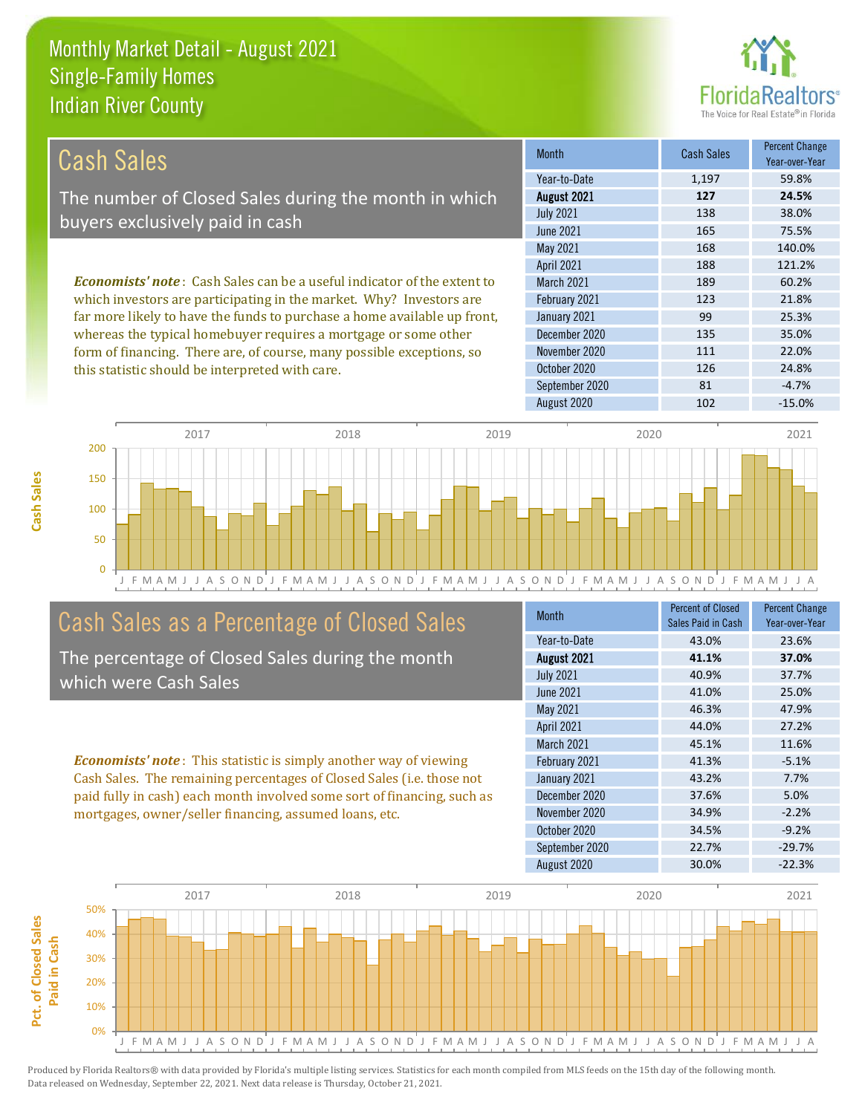this statistic should be interpreted with care.



| Cash Sales                                                                     | <b>Month</b>      | <b>Cash Sales</b> | <b>Percent Change</b><br>Year-over-Year |
|--------------------------------------------------------------------------------|-------------------|-------------------|-----------------------------------------|
|                                                                                | Year-to-Date      | 1,197             | 59.8%                                   |
| The number of Closed Sales during the month in which                           | August 2021       | 127               | 24.5%                                   |
| buyers exclusively paid in cash                                                | <b>July 2021</b>  | 138               | 38.0%                                   |
|                                                                                | June 2021         | 165               | 75.5%                                   |
|                                                                                | May 2021          | 168               | 140.0%                                  |
|                                                                                | <b>April 2021</b> | 188               | 121.2%                                  |
| <b>Economists' note:</b> Cash Sales can be a useful indicator of the extent to | <b>March 2021</b> | 189               | 60.2%                                   |
| which investors are participating in the market. Why? Investors are            | February 2021     | 123               | 21.8%                                   |
| far more likely to have the funds to purchase a home available up front,       | January 2021      | 99                | 25.3%                                   |
| whereas the typical homebuyer requires a mortgage or some other                | December 2020     | 135               | 35.0%                                   |
| form of financing. There are, of course, many possible exceptions, so          | November 2020     | 111               | 22.0%                                   |
| this statistic should be interpreted with care                                 | October 2020      | 126               | 24.8%                                   |



## Cash Sales as a Percentage of Closed Sales

The percentage of Closed Sales during the month which were Cash Sales

*Economists' note* : This statistic is simply another way of viewing Cash Sales. The remaining percentages of Closed Sales (i.e. those not paid fully in cash) each month involved some sort of financing, such as mortgages, owner/seller financing, assumed loans, etc.

| Month            | <b>Percent of Closed</b><br>Sales Paid in Cash | <b>Percent Change</b><br>Year-over-Year |
|------------------|------------------------------------------------|-----------------------------------------|
| Year-to-Date     | 43.0%                                          | 23.6%                                   |
| August 2021      | 41.1%                                          | 37.0%                                   |
| <b>July 2021</b> | 40.9%                                          | 37.7%                                   |
| June 2021        | 41.0%                                          | 25.0%                                   |
| May 2021         | 46.3%                                          | 47.9%                                   |
| April 2021       | 44.0%                                          | 27.2%                                   |
| March 2021       | 45.1%                                          | 11.6%                                   |
| February 2021    | 41.3%                                          | $-5.1%$                                 |
| January 2021     | 43.2%                                          | 7.7%                                    |
| December 2020    | 37.6%                                          | 5.0%                                    |
| November 2020    | 34.9%                                          | $-2.2%$                                 |
| October 2020     | 34.5%                                          | $-9.2%$                                 |
| September 2020   | 22.7%                                          | $-29.7%$                                |
| August 2020      | 30.0%                                          | $-22.3%$                                |

September 2020 81 -4.7%

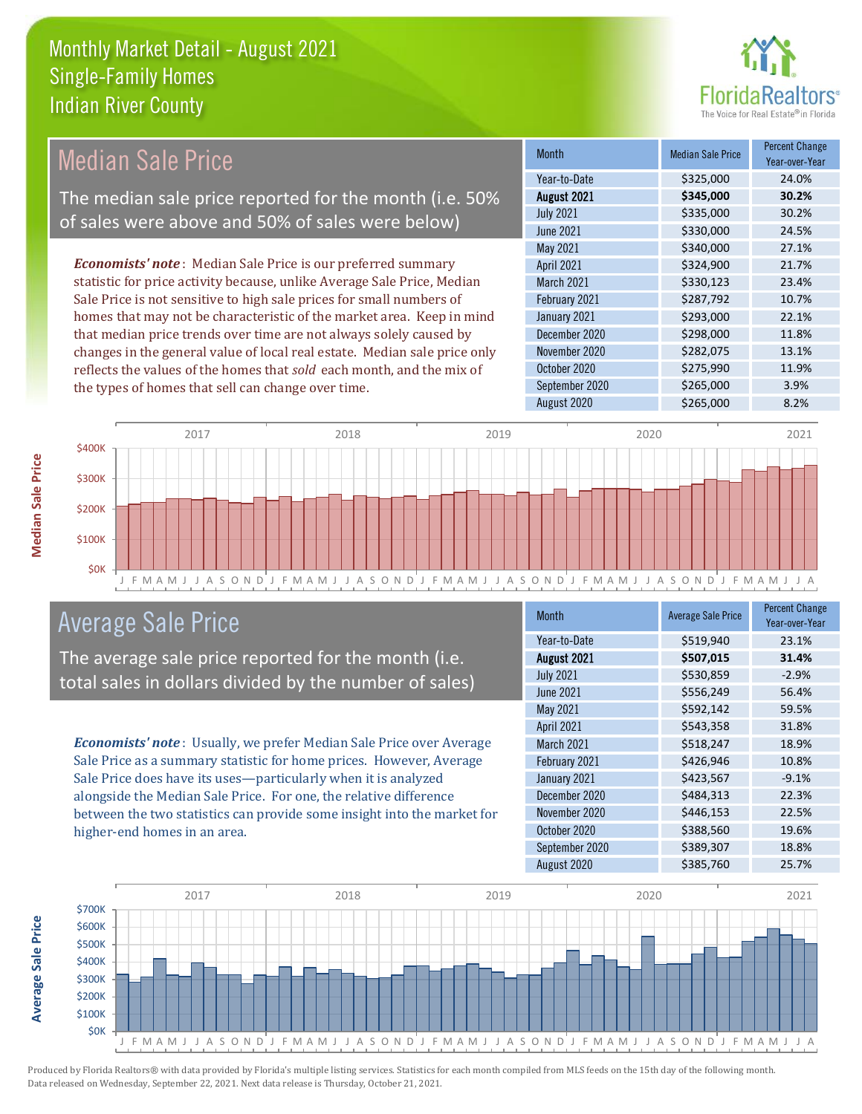

#### Month Median Sale Price Percent Change Year-over-Year August 2021 **\$345,000 30.2%** Year-to-Date \$325,000 24.0% January 2021 **\$293,000** 22.1% July 2021 **\$335,000** \$335,000 30.2% June 2021 **\$330,000** 24.5% March 2021 **\$330,123** 23.4% February 2021 **\$287,792** 10.7% May 2021 **\$340,000** \$340,000 27.1% April 2021 **\$324,900** \$324,900 21.7% December 2020 \$298,000 11.8% November 2020 **\$282,075** 13.1% October 2020 **\$275,990** 11.9% September 2020 \$265,000 3.9% August 2020 \$265,000 \$265,000 8.2% *Economists' note* : Median Sale Price is our preferred summary statistic for price activity because, unlike Average Sale Price, Median Sale Price is not sensitive to high sale prices for small numbers of homes that may not be characteristic of the market area. Keep in mind that median price trends over time are not always solely caused by changes in the general value of local real estate. Median sale price only reflects the values of the homes that *sold* each month, and the mix of the types of homes that sell can change over time. Median Sale Price The median sale price reported for the month (i.e. 50% of sales were above and 50% of sales were below)



## Average Sale Price

The average sale price reported for the month (i.e. total sales in dollars divided by the number of sales)

*Economists' note* : Usually, we prefer Median Sale Price over Average Sale Price as a summary statistic for home prices. However, Average Sale Price does have its uses—particularly when it is analyzed alongside the Median Sale Price. For one, the relative difference between the two statistics can provide some insight into the market for higher-end homes in an area.

| Month             | <b>Average Sale Price</b> | <b>Percent Change</b><br>Year-over-Year |
|-------------------|---------------------------|-----------------------------------------|
| Year-to-Date      | \$519,940                 | 23.1%                                   |
| August 2021       | \$507,015                 | 31.4%                                   |
| <b>July 2021</b>  | \$530,859                 | $-2.9%$                                 |
| June 2021         | \$556,249                 | 56.4%                                   |
| May 2021          | \$592,142                 | 59.5%                                   |
| April 2021        | \$543,358                 | 31.8%                                   |
| <b>March 2021</b> | \$518,247                 | 18.9%                                   |
| February 2021     | \$426,946                 | 10.8%                                   |
| January 2021      | \$423,567                 | $-9.1%$                                 |
| December 2020     | \$484,313                 | 22.3%                                   |
| November 2020     | \$446,153                 | 22.5%                                   |
| October 2020      | \$388,560                 | 19.6%                                   |
| September 2020    | \$389,307                 | 18.8%                                   |
| August 2020       | \$385,760                 | 25.7%                                   |



**Average Sale Price**

Average Sale Price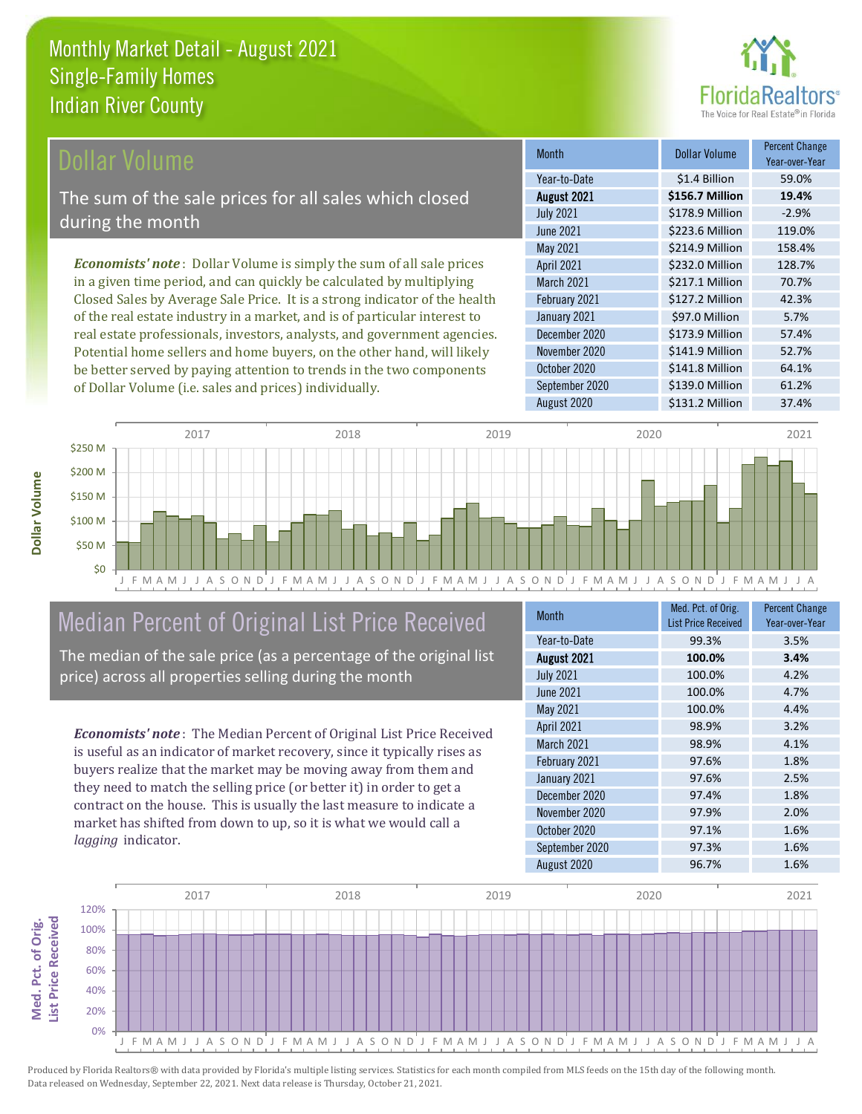

## **Ollar Volume**

The sum of the sale prices for all sales which closed during the month

*Economists' note* : Dollar Volume is simply the sum of all sale prices in a given time period, and can quickly be calculated by multiplying Closed Sales by Average Sale Price. It is a strong indicator of the health of the real estate industry in a market, and is of particular interest to real estate professionals, investors, analysts, and government agencies. Potential home sellers and home buyers, on the other hand, will likely be better served by paying attention to trends in the two components of Dollar Volume (i.e. sales and prices) individually.

| <b>Month</b>     | Dollar Volume   | <b>Percent Change</b><br>Year-over-Year |
|------------------|-----------------|-----------------------------------------|
| Year-to-Date     | \$1.4 Billion   | 59.0%                                   |
| August 2021      | \$156.7 Million | 19.4%                                   |
| <b>July 2021</b> | \$178.9 Million | $-2.9%$                                 |
| <b>June 2021</b> | \$223.6 Million | 119.0%                                  |
| May 2021         | \$214.9 Million | 158.4%                                  |
| April 2021       | \$232.0 Million | 128.7%                                  |
| March 2021       | \$217.1 Million | 70.7%                                   |
| February 2021    | \$127.2 Million | 42.3%                                   |
| January 2021     | \$97.0 Million  | 5.7%                                    |
| December 2020    | \$173.9 Million | 57.4%                                   |
| November 2020    | \$141.9 Million | 52.7%                                   |
| October 2020     | \$141.8 Million | 64.1%                                   |
| September 2020   | \$139.0 Million | 61.2%                                   |
| August 2020      | \$131.2 Million | 37.4%                                   |



## Median Percent of Original List Price Received

The median of the sale price (as a percentage of the original list price) across all properties selling during the month

*Economists' note* : The Median Percent of Original List Price Received is useful as an indicator of market recovery, since it typically rises as buyers realize that the market may be moving away from them and they need to match the selling price (or better it) in order to get a contract on the house. This is usually the last measure to indicate a market has shifted from down to up, so it is what we would call a *lagging* indicator.

| <b>Month</b>     | Med. Pct. of Orig.<br><b>List Price Received</b> | <b>Percent Change</b><br>Year-over-Year |
|------------------|--------------------------------------------------|-----------------------------------------|
| Year-to-Date     | 99.3%                                            | 3.5%                                    |
| August 2021      | 100.0%                                           | 3.4%                                    |
| <b>July 2021</b> | 100.0%                                           | 4.2%                                    |
| <b>June 2021</b> | 100.0%                                           | 4.7%                                    |
| May 2021         | 100.0%                                           | 4.4%                                    |
| April 2021       | 98.9%                                            | 3.2%                                    |
| March 2021       | 98.9%                                            | 4.1%                                    |
| February 2021    | 97.6%                                            | 1.8%                                    |
| January 2021     | 97.6%                                            | 2.5%                                    |
| December 2020    | 97.4%                                            | 1.8%                                    |
| November 2020    | 97.9%                                            | 2.0%                                    |
| October 2020     | 97.1%                                            | 1.6%                                    |
| September 2020   | 97.3%                                            | 1.6%                                    |
| August 2020      | 96.7%                                            | 1.6%                                    |

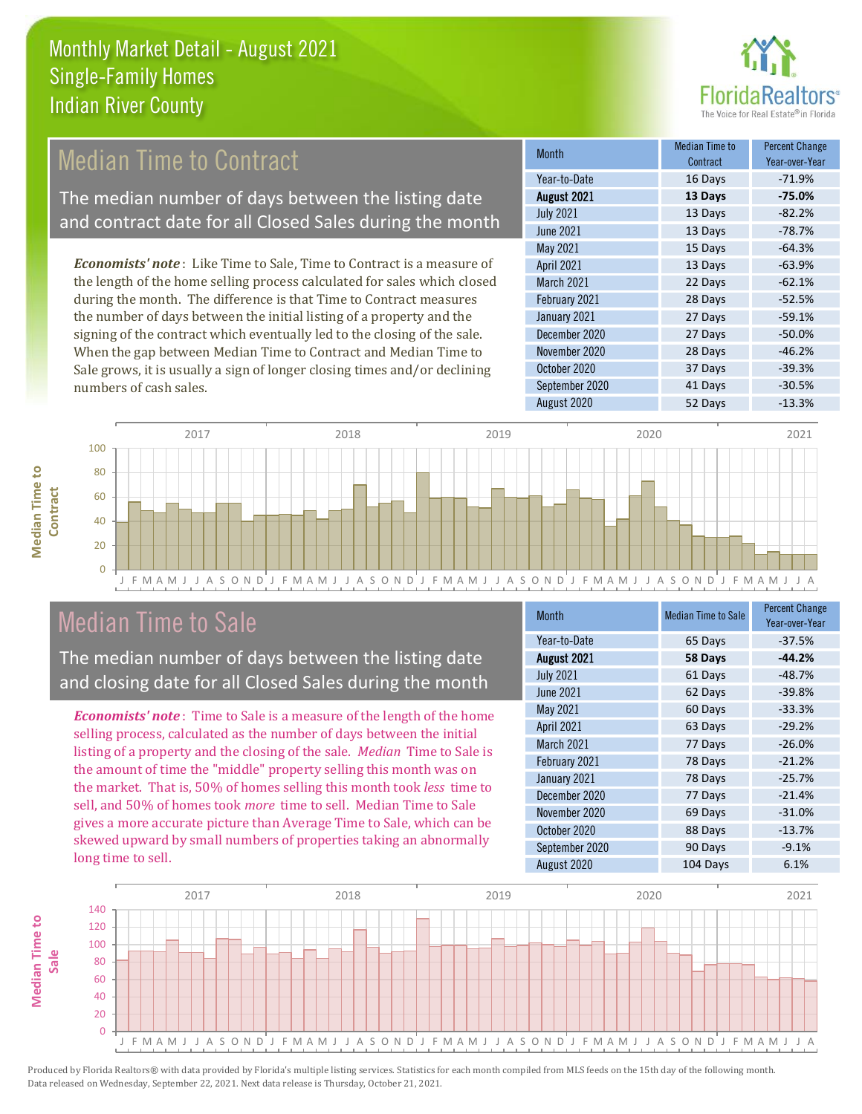

## Median Time to Contract

The median number of days between the listing date and contract date for all Closed Sales during the month

*Economists' note* : Like Time to Sale, Time to Contract is a measure of the length of the home selling process calculated for sales which closed during the month. The difference is that Time to Contract measures the number of days between the initial listing of a property and the signing of the contract which eventually led to the closing of the sale. When the gap between Median Time to Contract and Median Time to Sale grows, it is usually a sign of longer closing times and/or declining numbers of cash sales.

| <b>Month</b>     | Median Time to<br>Contract | <b>Percent Change</b><br>Year-over-Year |
|------------------|----------------------------|-----------------------------------------|
| Year-to-Date     | 16 Days                    | $-71.9%$                                |
| August 2021      | 13 Days                    | $-75.0%$                                |
| <b>July 2021</b> | 13 Days                    | $-82.2%$                                |
| <b>June 2021</b> | 13 Days                    | $-78.7%$                                |
| May 2021         | 15 Days                    | $-64.3%$                                |
| April 2021       | 13 Days                    | $-63.9%$                                |
| March 2021       | 22 Days                    | $-62.1%$                                |
| February 2021    | 28 Days                    | $-52.5%$                                |
| January 2021     | 27 Days                    | $-59.1%$                                |
| December 2020    | 27 Days                    | $-50.0%$                                |
| November 2020    | 28 Days                    | $-46.2%$                                |
| October 2020     | 37 Days                    | $-39.3%$                                |
| September 2020   | 41 Days                    | $-30.5%$                                |
| August 2020      | 52 Days                    | $-13.3%$                                |





J F M A M J J A S O N D J F M A M J J A S O N D J F M A M J J A S O N D J F M A M J J A S O N D J F M A M J J A

## Median Time to Sale

The median number of days between the listing date and closing date for all Closed Sales during the month

*Economists' note* : Time to Sale is a measure of the length of the home selling process, calculated as the number of days between the initial listing of a property and the closing of the sale. *Median* Time to Sale is the amount of time the "middle" property selling this month was on the market. That is, 50% of homes selling this month took *less* time to sell, and 50% of homes took *more* time to sell. Median Time to Sale gives a more accurate picture than Average Time to Sale, which can be skewed upward by small numbers of properties taking an abnormally long time to sell.

| <b>Month</b>     | <b>Median Time to Sale</b> | <b>Percent Change</b><br>Year-over-Year |
|------------------|----------------------------|-----------------------------------------|
| Year-to-Date     | 65 Days                    | $-37.5%$                                |
| August 2021      | 58 Days                    | $-44.2%$                                |
| <b>July 2021</b> | 61 Days                    | $-48.7%$                                |
| <b>June 2021</b> | 62 Days                    | $-39.8%$                                |
| May 2021         | 60 Days                    | $-33.3%$                                |
| April 2021       | 63 Days                    | $-29.2%$                                |
| March 2021       | 77 Days                    | $-26.0%$                                |
| February 2021    | 78 Days                    | $-21.2%$                                |
| January 2021     | 78 Days                    | $-25.7%$                                |
| December 2020    | 77 Days                    | $-21.4%$                                |
| November 2020    | 69 Days                    | $-31.0%$                                |
| October 2020     | 88 Days                    | $-13.7%$                                |
| September 2020   | 90 Days                    | $-9.1%$                                 |
| August 2020      | 104 Days                   | 6.1%                                    |

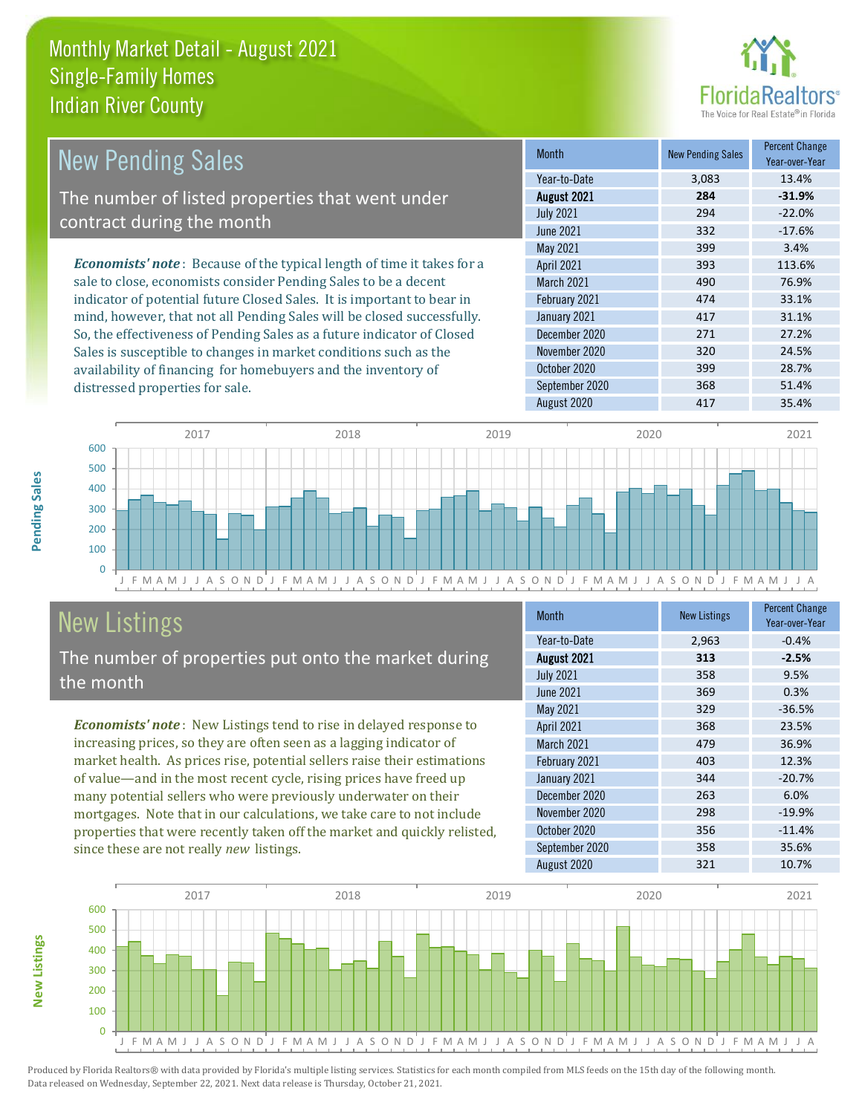

| <b>New Pending Sales</b>                                                      | <b>Month</b>      | <b>New Pending Sales</b> | <b>Percent Change</b><br>Year-over-Year |
|-------------------------------------------------------------------------------|-------------------|--------------------------|-----------------------------------------|
|                                                                               | Year-to-Date      | 3,083                    | 13.4%                                   |
| The number of listed properties that went under                               | August 2021       | 284                      | $-31.9%$                                |
| contract during the month                                                     | <b>July 2021</b>  | 294                      | $-22.0%$                                |
|                                                                               | June 2021         | 332                      | $-17.6%$                                |
|                                                                               | May 2021          | 399                      | 3.4%                                    |
| <b>Economists' note:</b> Because of the typical length of time it takes for a | <b>April 2021</b> | 393                      | 113.6%                                  |
| sale to close, economists consider Pending Sales to be a decent               | <b>March 2021</b> | 490                      | 76.9%                                   |
| indicator of potential future Closed Sales. It is important to bear in        | February 2021     | 474                      | 33.1%                                   |
| mind, however, that not all Pending Sales will be closed successfully.        | January 2021      | 417                      | 31.1%                                   |
| So, the effectiveness of Pending Sales as a future indicator of Closed        | December 2020     | 271                      | 27.2%                                   |
| Sales is susceptible to changes in market conditions such as the              | November 2020     | 320                      | 24.5%                                   |
| availability of financing for homebuyers and the inventory of                 | October 2020      | 399                      | 28.7%                                   |



# New Listings

**New Listings**

**Pending Sales**

Pending Sales

distressed properties for sale.

The number of properties put onto the market during the month

*Economists' note* : New Listings tend to rise in delayed response to increasing prices, so they are often seen as a lagging indicator of market health. As prices rise, potential sellers raise their estimations of value—and in the most recent cycle, rising prices have freed up many potential sellers who were previously underwater on their mortgages. Note that in our calculations, we take care to not include properties that were recently taken off the market and quickly relisted, since these are not really *new* listings.

| <b>Month</b>      | <b>New Listings</b> | <b>Percent Change</b><br>Year-over-Year |
|-------------------|---------------------|-----------------------------------------|
| Year-to-Date      | 2,963               | $-0.4%$                                 |
| August 2021       | 313                 | $-2.5%$                                 |
| <b>July 2021</b>  | 358                 | 9.5%                                    |
| June 2021         | 369                 | 0.3%                                    |
| May 2021          | 329                 | $-36.5%$                                |
| April 2021        | 368                 | 23.5%                                   |
| <b>March 2021</b> | 479                 | 36.9%                                   |
| February 2021     | 403                 | 12.3%                                   |
| January 2021      | 344                 | $-20.7%$                                |
| December 2020     | 263                 | 6.0%                                    |
| November 2020     | 298                 | $-19.9%$                                |
| October 2020      | 356                 | $-11.4%$                                |
| September 2020    | 358                 | 35.6%                                   |
| August 2020       | 321                 | 10.7%                                   |

September 2020 368 51.4% August 2020 417 417 35.4%

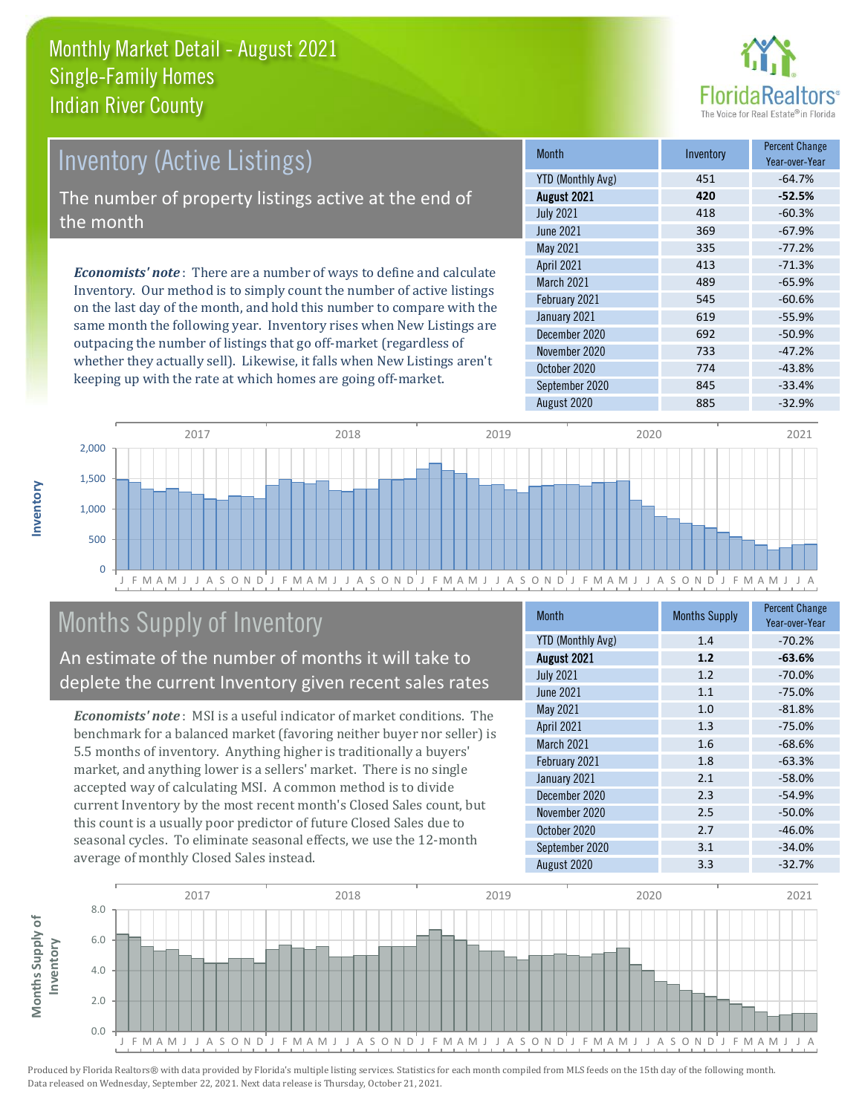

## Inventory (Active Listings) The number of property listings active at the end of

the month

*Economists' note* : There are a number of ways to define and calculate Inventory. Our method is to simply count the number of active listings on the last day of the month, and hold this number to compare with the same month the following year. Inventory rises when New Listings are outpacing the number of listings that go off-market (regardless of whether they actually sell). Likewise, it falls when New Listings aren't keeping up with the rate at which homes are going off-market.

| <b>Month</b>             | Inventory | <b>Percent Change</b><br>Year-over-Year |
|--------------------------|-----------|-----------------------------------------|
| <b>YTD (Monthly Avg)</b> | 451       | $-64.7%$                                |
| August 2021              | 420       | $-52.5%$                                |
| <b>July 2021</b>         | 418       | $-60.3%$                                |
| <b>June 2021</b>         | 369       | $-67.9%$                                |
| May 2021                 | 335       | $-77.2%$                                |
| April 2021               | 413       | $-71.3%$                                |
| <b>March 2021</b>        | 489       | $-65.9%$                                |
| February 2021            | 545       | $-60.6%$                                |
| January 2021             | 619       | $-55.9%$                                |
| December 2020            | 692       | $-50.9%$                                |
| November 2020            | 733       | $-47.2%$                                |
| October 2020             | 774       | $-43.8%$                                |
| September 2020           | 845       | $-33.4%$                                |
| August 2020              | 885       | $-32.9%$                                |



## Months Supply of Inventory

An estimate of the number of months it will take to deplete the current Inventory given recent sales rates

*Economists' note* : MSI is a useful indicator of market conditions. The benchmark for a balanced market (favoring neither buyer nor seller) is 5.5 months of inventory. Anything higher is traditionally a buyers' market, and anything lower is a sellers' market. There is no single accepted way of calculating MSI. A common method is to divide current Inventory by the most recent month's Closed Sales count, but this count is a usually poor predictor of future Closed Sales due to seasonal cycles. To eliminate seasonal effects, we use the 12-month average of monthly Closed Sales instead.

| <b>Month</b>             | <b>Months Supply</b> | <b>Percent Change</b><br>Year-over-Year |
|--------------------------|----------------------|-----------------------------------------|
| <b>YTD (Monthly Avg)</b> | 1.4                  | $-70.2%$                                |
| August 2021              | 1.2                  | $-63.6%$                                |
| <b>July 2021</b>         | 1.2                  | $-70.0%$                                |
| <b>June 2021</b>         | 1.1                  | $-75.0%$                                |
| May 2021                 | 1.0                  | $-81.8%$                                |
| April 2021               | 1.3                  | $-75.0%$                                |
| <b>March 2021</b>        | 1.6                  | $-68.6%$                                |
| February 2021            | 1.8                  | $-63.3%$                                |
| January 2021             | 2.1                  | $-58.0%$                                |
| December 2020            | 2.3                  | $-54.9%$                                |
| November 2020            | 2.5                  | $-50.0%$                                |
| October 2020             | 2.7                  | $-46.0%$                                |
| September 2020           | 3.1                  | $-34.0%$                                |
| August 2020              | 3.3                  | $-32.7%$                                |

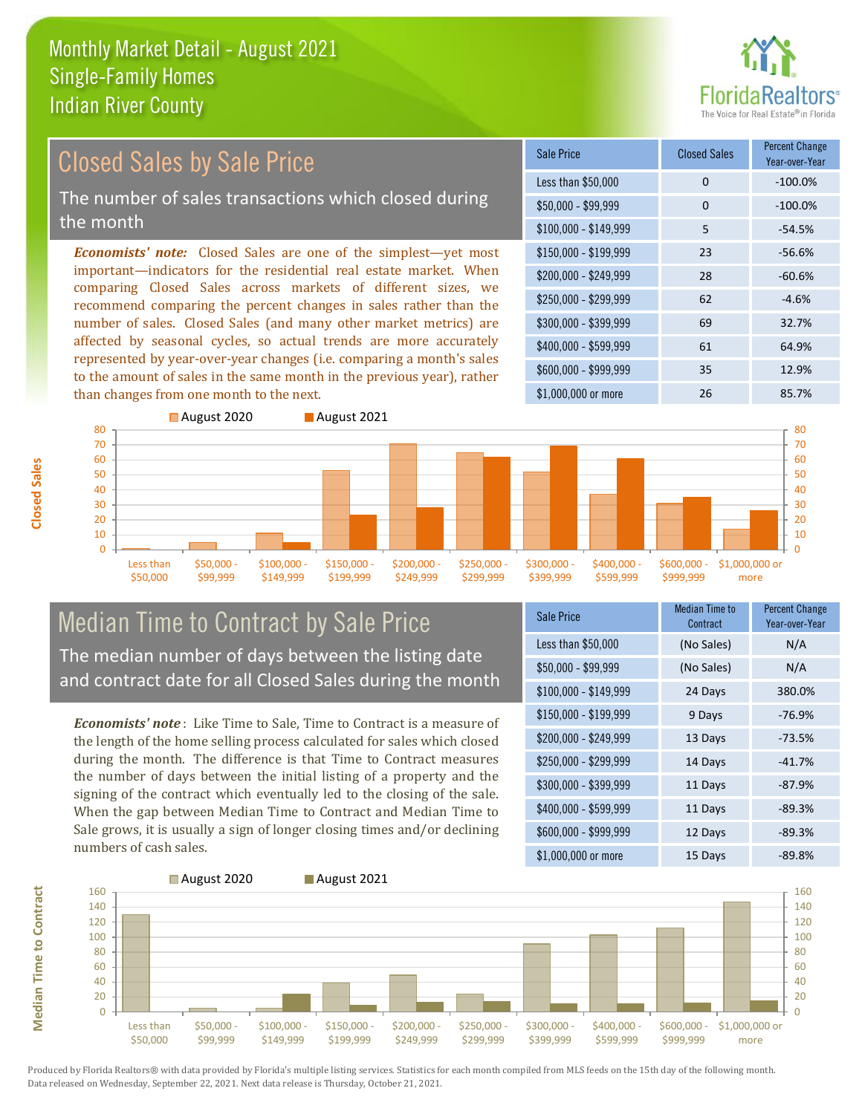# **Paltors**

#### *Economists' note:* Closed Sales are one of the simplest—yet most important—indicators for the residential real estate market. When comparing Closed Sales across markets of different sizes, we recommend comparing the percent changes in sales rather than the number of sales. Closed Sales (and many other market metrics) are affected by seasonal cycles, so actual trends are more accurately represented by year-over-year changes (i.e. comparing a month's sales to the amount of sales in the same month in the previous year), rather than changes from one month to the next. \$1,000,000 or more 26 20 85.7%  $$250,000 - $299,999$  62 -4.6% \$300,000 - \$399,999 69 32.7% \$400,000 - \$599,999 61 64.9% \$600,000 - \$999,999 35 12.9% \$150,000 - \$199,999 23 -56.6% \$200,000 - \$249,999 28 -60.6% \$100,000 - \$149,999 5 -54.5% Sale Price Closed Sales Percent Change Year-over-Year Less than \$50,000 0 0 -100.0%  $$50.000 - $99.999$  0  $-100.0\%$ Closed Sales by Sale Price The number of sales transactions which closed during the month



## Median Time to Contract by Sale Price The median number of days between the listing date and contract date for all Closed Sales during the month

*Economists' note* : Like Time to Sale, Time to Contract is a measure of the length of the home selling process calculated for sales which closed during the month. The difference is that Time to Contract measures the number of days between the initial listing of a property and the signing of the contract which eventually led to the closing of the sale. When the gap between Median Time to Contract and Median Time to Sale grows, it is usually a sign of longer closing times and/or declining numbers of cash sales.

| Sale Price            | <b>Median Time to</b><br>Contract | <b>Percent Change</b><br>Year-over-Year |
|-----------------------|-----------------------------------|-----------------------------------------|
| Less than \$50,000    | (No Sales)                        | N/A                                     |
| $$50,000 - $99,999$   | (No Sales)                        | N/A                                     |
| $$100,000 - $149,999$ | 24 Days                           | 380.0%                                  |
| $$150,000 - $199,999$ | 9 Days                            | $-76.9%$                                |
| \$200,000 - \$249,999 | 13 Days                           | $-73.5%$                                |
| \$250,000 - \$299,999 | 14 Days                           | $-41.7%$                                |
| \$300,000 - \$399,999 | 11 Days                           | $-87.9%$                                |
| \$400,000 - \$599,999 | 11 Days                           | $-89.3%$                                |
| \$600,000 - \$999,999 | 12 Days                           | $-89.3%$                                |
| \$1,000,000 or more   | 15 Days                           | $-89.8%$                                |



Produced by Florida Realtors® with data provided by Florida's multiple listing services. Statistics for each month compiled from MLS feeds on the 15th day of the following month. Data released on Wednesday, September 22, 2021. Next data release is Thursday, October 21, 2021.

**Median Time to Contract**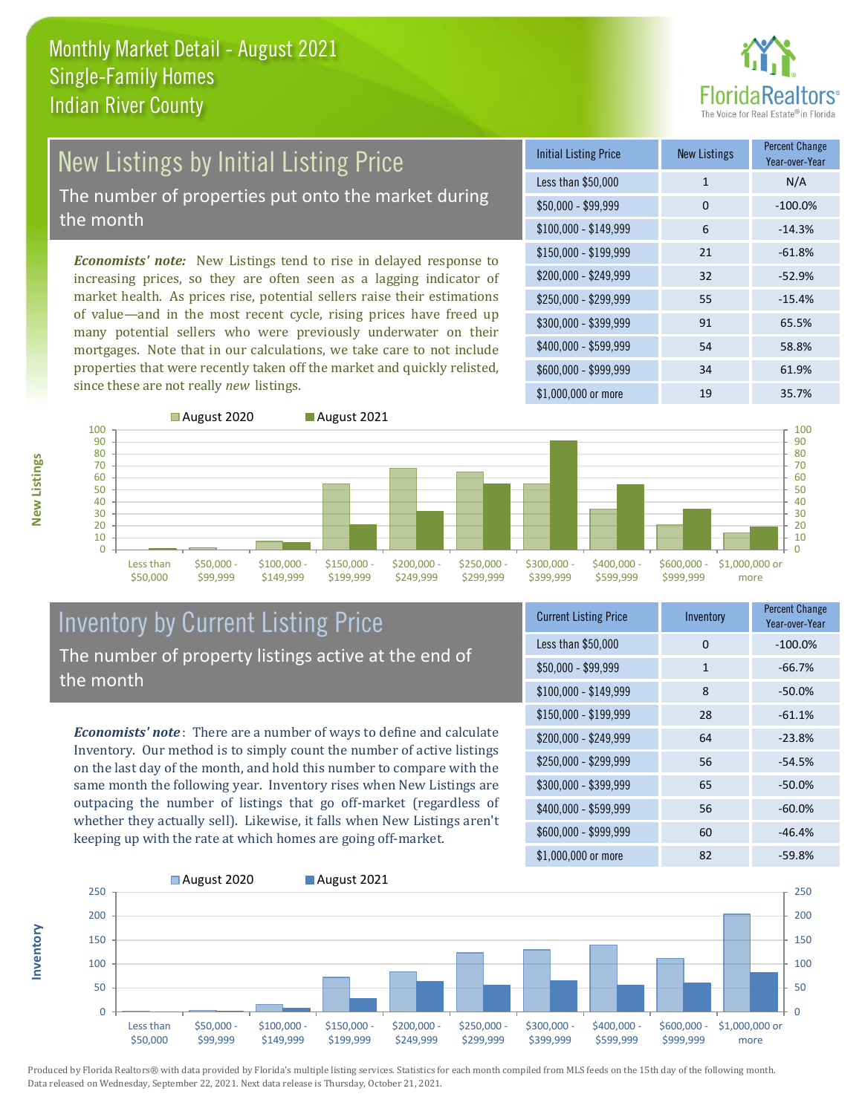

## New Listings by Initial Listing Price The number of properties put onto the market during

the month

*Economists' note:* New Listings tend to rise in delayed response to increasing prices, so they are often seen as a lagging indicator of market health. As prices rise, potential sellers raise their estimations of value—and in the most recent cycle, rising prices have freed up many potential sellers who were previously underwater on their mortgages. Note that in our calculations, we take care to not include properties that were recently taken off the market and quickly relisted, since these are not really *new* listings.

| <b>Initial Listing Price</b> | <b>New Listings</b> | <b>Percent Change</b><br>Year-over-Year |
|------------------------------|---------------------|-----------------------------------------|
| Less than \$50,000           | $\mathbf{1}$        | N/A                                     |
| $$50,000 - $99,999$          | 0                   | $-100.0%$                               |
| $$100,000 - $149,999$        | 6                   | $-14.3%$                                |
| $$150,000 - $199,999$        | 21                  | $-61.8%$                                |
| \$200,000 - \$249,999        | 32                  | $-52.9%$                                |
| \$250,000 - \$299,999        | 55                  | $-15.4%$                                |
| \$300,000 - \$399,999        | 91                  | 65.5%                                   |
| \$400,000 - \$599,999        | 54                  | 58.8%                                   |
| \$600,000 - \$999,999        | 34                  | 61.9%                                   |
| $$1,000,000$ or more         | 19                  | 35.7%                                   |



## Inventory by Current Listing Price The number of property listings active at the end of the month

*Economists' note* : There are a number of ways to define and calculate Inventory. Our method is to simply count the number of active listings on the last day of the month, and hold this number to compare with the same month the following year. Inventory rises when New Listings are outpacing the number of listings that go off-market (regardless of whether they actually sell). Likewise, it falls when New Listings aren't keeping up with the rate at which homes are going off-market.

| <b>Current Listing Price</b> | Inventory | <b>Percent Change</b><br>Year-over-Year |
|------------------------------|-----------|-----------------------------------------|
| Less than \$50,000           | $\Omega$  | $-100.0%$                               |
| $$50,000 - $99,999$          | 1         | $-66.7%$                                |
| $$100,000 - $149,999$        | 8         | $-50.0%$                                |
| $$150,000 - $199,999$        | 28        | $-61.1%$                                |
| \$200,000 - \$249,999        | 64        | $-23.8%$                                |
| \$250,000 - \$299,999        | 56        | $-54.5%$                                |
| \$300,000 - \$399,999        | 65        | $-50.0%$                                |
| \$400,000 - \$599,999        | 56        | $-60.0%$                                |
| \$600,000 - \$999,999        | 60        | $-46.4%$                                |
| \$1,000,000 or more          | 82        | $-59.8%$                                |



**Inventory**

**New Listings**